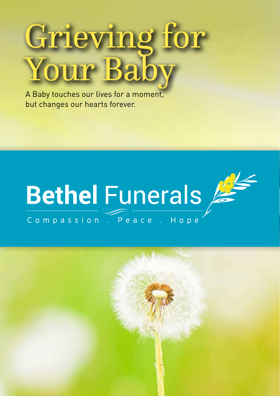# Grieving for Your Bab

A Baby touches our lives for a moment, but changes our hearts forever.



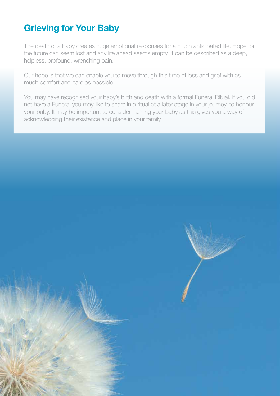# **Grieving for Your Baby**

The death of a baby creates huge emotional responses for a much anticipated life. Hope for the future can seem lost and any life ahead seems empty. It can be described as a deep, helpless, profound, wrenching pain.

Our hope is that we can enable you to move through this time of loss and grief with as much comfort and care as possible.

You may have recognised your baby's birth and death with a formal Funeral Ritual. If you did not have a Funeral you may like to share in a ritual at a later stage in your journey, to honour your baby. It may be important to consider naming your baby as this gives you a way of acknowledging their existence and place in your family.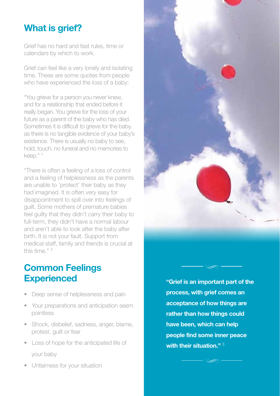# **What is grief?**

Grief has no hard and fast rules, time or calendars by which to work.

Grief can feel like a very lonely and isolating time. These are some quotes from people who have experienced the loss of a baby:

"You grieve for a person you never knew, and for a relationship that ended before it really began. You grieve for the loss of your future as a parent of the baby who has died. Sometimes it is difficult to grieve for the baby, as there is no tangible evidence of your baby's existence. There is usually no baby to see, hold, touch, no funeral and no memories to keep." 1

"There is often a feeling of a loss of control and a feeling of helplessness as the parents are unable to 'protect' their baby as they had imagined. It is often very easy for disappointment to spill over into feelings of guilt. Some mothers of premature babies feel guilty that they didn't carry their baby to full-term, they didn't have a normal labour and aren't able to look after the baby after birth. It is not your fault. Support from medical staff, family and friends is crucial at this time." 2

## **Common Feelings Experienced**

- Deep sense of helplessness and pain
- Your preparations and anticipation seem pointless
- Shock, disbelief, sadness, anger, blame, protest, guilt or fear
- Loss of hope for the anticipated life of your baby
- Unfairness for your situation

**"Grief is an important part of the process, with grief comes an acceptance of how things are rather than how things could have been, which can help people find some inner peace with their situation."** 3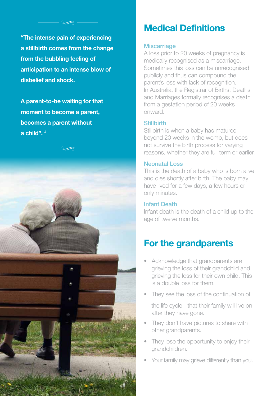**"The intense pain of experiencing a stillbirth comes from the change from the bubbling feeling of anticipation to an intense blow of disbelief and shock.** 

**A parent-to-be waiting for that moment to become a parent, becomes a parent without a child".** 4



# **Medical Definitions**

#### **Miscarriage**

A loss prior to 20 weeks of pregnancy is medically recognised as a miscarriage. Sometimes this loss can be unrecognised publicly and thus can compound the parent's loss with lack of recognition. In Australia, the Registrar of Births, Deaths and Marriages formally recognises a death from a gestation period of 20 weeks onward.

#### **Stillbirth**

Stillbirth is when a baby has matured beyond 20 weeks in the womb, but does not survive the birth process for varying reasons, whether they are full term or earlier.

#### Neonatal Loss

This is the death of a baby who is born alive and dies shortly after birth. The baby may have lived for a few days, a few hours or only minutes.

#### Infant Death

Infant death is the death of a child up to the age of twelve months.

# **For the grandparents**

- Acknowledge that grandparents are grieving the loss of their grandchild and grieving the loss for their own child. This is a double loss for them.
- They see the loss of the continuation of

the life cycle - that their family will live on after they have gone.

- They don't have pictures to share with other grandparents.
- They lose the opportunity to enjoy their grandchildren.
- Your family may grieve differently than you.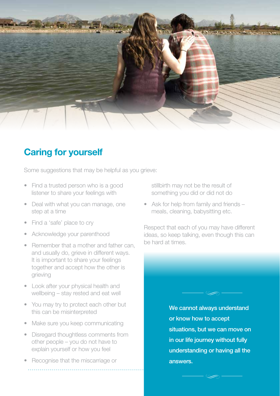

## **Caring for yourself**

Some suggestions that may be helpful as you grieve:

- Find a trusted person who is a good listener to share your feelings with
- Deal with what you can manage, one step at a time
- Find a 'safe' place to cry
- Acknowledge your parenthood
- Remember that a mother and father can, and usually do, grieve in different ways. It is important to share your feelings together and accept how the other is grieving
- Look after your physical health and wellbeing – stay rested and eat well
- You may try to protect each other but this can be misinterpreted
- Make sure you keep communicating
- Disregard thoughtless comments from other people – you do not have to explain yourself or how you feel
- Recognise that the miscarriage or

stillbirth may not be the result of something you did or did not do

• Ask for help from family and friends – meals, cleaning, babysitting etc.

Respect that each of you may have different ideas, so keep talking, even though this can be hard at times.

> We cannot always understand or know how to accept situations, but we can move on in our life journey without fully understanding or having all the answers.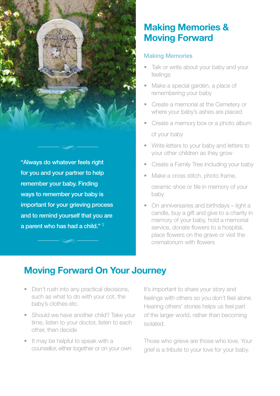

"Always do whatever feels right for you and your partner to help remember your baby. Finding ways to remember your baby is important for your grieving process and to remind yourself that you are a parent who has had a child." <sup>3</sup>

## **Making Memories & Moving Forward**

#### Making Memories

- Talk or write about your baby and your feelings
- Make a special garden, a place of remembering your baby
- Create a memorial at the Cemetery or where your baby's ashes are placed
- Create a memory box or a photo album of your baby
- Write letters to your baby and letters to your other children as they grow
- Create a Family Tree including your baby
- Make a cross stitch, photo frame,

ceramic shoe or tile in memory of your baby

• On anniversaries and birthdays – light a candle, buy a gift and give to a charity in memory of your baby, hold a memorial service, donate flowers to a hospital, place flowers on the grave or visit the crematorium with flowers

# **Moving Forward On Your Journey**

- Don't rush into any practical decisions, such as what to do with your cot, the baby's clothes etc.
- Should we have another child? Take your time, listen to your doctor, listen to each other, then decide
- It may be helpful to speak with a counsellor, either together or on your own

It's important to share your story and feelings with others so you don't feel alone. Hearing others' stories helps us feel part of the larger world, rather than becoming isolated.

Those who grieve are those who love. Your grief is a tribute to your love for your baby.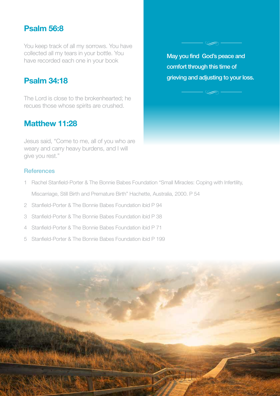## **Psalm 56:8**

You keep track of all my sorrows. You have collected all my tears in your bottle. You have recorded each one in your book

## **Psalm 34:18**

The Lord is close to the brokenhearted; he recues those whose spirits are crushed.

## **Matthew 11:28**

Jesus said, "Come to me, all of you who are weary and carry heavy burdens, and I will give you rest."

May you find God's peace and comfort through this time of grieving and adjusting to your loss.

#### **References**

- 1 Rachel Stanfield-Porter & The Bonnie Babes Foundation "Small Miracles: Coping with Infertility, Miscarriage, Still Birth and Premature Birth" Hachette, Australia, 2000. P 54
- 2 Stanfield-Porter & The Bonnie Babes Foundation ibid P 94
- 3 Stanfield-Porter & The Bonnie Babes Foundation ibid P 38
- 4 Stanfield-Porter & The Bonnie Babes Foundation ibid P 71
- 5 Stanfield-Porter & The Bonnie Babes Foundation ibid P 199